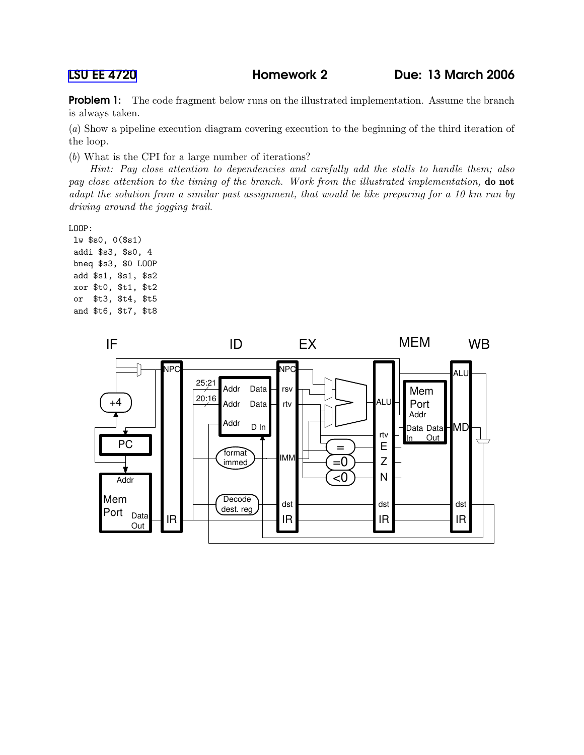LSU EE [4720](http://www.ece.lsu.edu/ee4720/) Homework 2 Due: 13 March 2006

Problem 1: The code fragment below runs on the illustrated implementation. Assume the branch is always taken.

(a) Show a pipeline execution diagram covering execution to the beginning of the third iteration of the loop.

(b) What is the CPI for a large number of iterations?

Hint: Pay close attention to dependencies and carefully add the stalls to handle them; also pay close attention to the timing of the branch. Work from the illustrated implementation, **do not** adapt the solution from a similar past assignment, that would be like preparing for a 10 km run by driving around the jogging trail.

LOOP:

lw \$s0, 0(\$s1) addi \$s3, \$s0, 4 bneq \$s3, \$0 LOOP add \$s1, \$s1, \$s2 xor \$t0, \$t1, \$t2 or \$t3, \$t4, \$t5 and \$t6, \$t7, \$t8